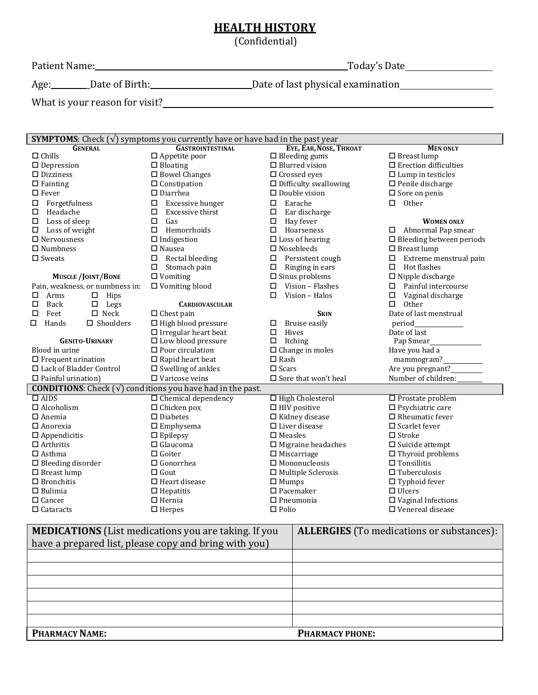## **HEALTH HISTORY**

(Confidential)

Patient Name: Today's Date

Age: \_\_\_\_\_\_\_\_Date of Birth: \_\_\_\_\_\_\_\_\_\_\_\_\_\_\_\_\_\_\_\_\_\_\_\_\_\_Date of last physical examination \_\_\_\_\_\_\_\_\_\_\_\_\_\_\_\_\_\_\_\_\_\_

What is your reason for visit?<br>
<u>Letter and the contract of the contract of the contract of the contract of the contract of the contract of the contract of the contract of the contract of the contract of the contract of th</u>

| <b>SYMPTOMS:</b> Check $(\sqrt{})$ symptoms you currently have or have had in the past year |                                                                           |                                |                                 |  |  |  |  |  |
|---------------------------------------------------------------------------------------------|---------------------------------------------------------------------------|--------------------------------|---------------------------------|--|--|--|--|--|
| <b>GENERAL</b>                                                                              | <b>GASTROINTESTINAL</b>                                                   | EYE, EAR, NOSE, THROAT         | <b>MEN ONLY</b>                 |  |  |  |  |  |
| $\Box$ Chills                                                                               | $\Box$ Appetite poor                                                      | $\Box$ Bleeding gums           | $\Box$ Breast lump              |  |  |  |  |  |
| $\Box$ Depression                                                                           | $\Box$ Bloating                                                           | $\Box$ Blurred vision          | $\Box$ Erection difficulties    |  |  |  |  |  |
| $\square$ Dizziness                                                                         | $\square$ Bowel Changes                                                   | $\Box$ Crossed eyes            | $\Box$ Lump in testicles        |  |  |  |  |  |
| $\Box$ Fainting                                                                             | $\Box$ Constipation                                                       | $\Box$ Difficulty swallowing   | $\Box$ Penile discharge         |  |  |  |  |  |
| $\Box$ Fever                                                                                | $\square$ Diarrhea                                                        | $\Box$ Double vision           | $\Box$ Sore on penis            |  |  |  |  |  |
| Forgetfulness<br>◻                                                                          | Excessive hunger<br>□                                                     | Earache<br>□                   | Other<br>$\Box$                 |  |  |  |  |  |
| Headache<br>□                                                                               | Excessive thirst<br>□                                                     | Ear discharge<br>□             |                                 |  |  |  |  |  |
| Loss of sleep<br>□                                                                          | $\Box$<br>Gas                                                             | □<br>Hay fever                 | <b>WOMEN ONLY</b>               |  |  |  |  |  |
| □<br>Loss of weight                                                                         | $\Box$<br>Hemorrhoids                                                     | Hoarseness<br>□                | Abnormal Pap smear<br>□         |  |  |  |  |  |
| $\Box$ Nervousness                                                                          | $\Box$ Indigestion                                                        | $\Box$ Loss of hearing         | $\Box$ Bleeding between periods |  |  |  |  |  |
| $\Box$ Numbness                                                                             | $\Box$ Nausea                                                             | $\square$ Nosebleeds           | $\Box$ Breast lump              |  |  |  |  |  |
| $\square$ Sweats                                                                            | Rectal bleeding<br>□                                                      | Persistent cough<br>□          | Extreme menstrual pain<br>□     |  |  |  |  |  |
|                                                                                             | Stomach pain<br>□                                                         | Ringing in ears<br>□           | Hot flashes<br>0                |  |  |  |  |  |
| <b>MUSCLE/JOINT/BONE</b>                                                                    | $\Box$ Vomiting                                                           | $\square$ Sinus problems       | $\Box$ Nipple discharge         |  |  |  |  |  |
| Pain, weakness, or numbness in:                                                             | $\Box$ Vomiting blood                                                     | Vision - Flashes<br>□          | Painful intercourse<br>□        |  |  |  |  |  |
| Arms<br>$\Box$<br>Hips<br>□                                                                 |                                                                           | Vision - Halos<br>□            | □<br>Vaginal discharge          |  |  |  |  |  |
| Back<br>Legs<br>□<br>$\Box$                                                                 | <b>CARDIOVASCULAR</b>                                                     |                                | П<br><b>Other</b>               |  |  |  |  |  |
| $\square$ Neck<br>П<br>Feet                                                                 | $\Box$ Chest pain                                                         | <b>SKIN</b>                    | Date of last menstrual          |  |  |  |  |  |
| $\square$ Shoulders<br>◻<br>Hands                                                           | $\Box$ High blood pressure                                                | Bruise easily<br>□             | period                          |  |  |  |  |  |
|                                                                                             | $\Box$ Irregular heart beat                                               | $\Box$<br>Hives                | Date of last                    |  |  |  |  |  |
| <b>GENITO-URINARY</b>                                                                       | $\Box$ Low blood pressure                                                 | Itching<br>□                   | Pap Smear_                      |  |  |  |  |  |
| Blood in urine                                                                              | $\square$ Poor circulation                                                | $\Box$ Change in moles         | Have you had a                  |  |  |  |  |  |
| $\Box$ Frequent urination                                                                   | $\Box$ Rapid heart beat                                                   | $\Box$ Rash                    | mammogram?                      |  |  |  |  |  |
| □ Lack of Bladder Control                                                                   | $\square$ Swelling of ankles                                              | $\square$ Scars                | Are you pregnant?               |  |  |  |  |  |
| $\square$ Painful urination)                                                                | $\Box$ Varicose veins                                                     | $\square$ Sore that won't heal | Number of children:             |  |  |  |  |  |
|                                                                                             | <b>CONDITIONS:</b> Check $(\sqrt{})$ conditions you have had in the past. |                                |                                 |  |  |  |  |  |
| $\Box$ AIDS                                                                                 | $\Box$ Chemical dependency                                                | □ High Cholesterol             | $\Box$ Prostate problem         |  |  |  |  |  |
| $\Box$ Alcoholism                                                                           | $\Box$ Chicken pox                                                        | $\Box$ HIV positive            | $\square$ Psychiatric care      |  |  |  |  |  |
| $\square$ Anemia                                                                            | $\square$ Diabetes                                                        | $\Box$ Kidney disease          | $\Box$ Rheumatic fever          |  |  |  |  |  |
| $\square$ Anorexia                                                                          | $\square$ Emphysema                                                       | $\Box$ Liver disease           | $\square$ Scarlet fever         |  |  |  |  |  |
| $\Box$ Appendicitis                                                                         | $\square$ Epilepsy                                                        | $\square$ Measles              | $\Box$ Stroke                   |  |  |  |  |  |
| $\Box$ Arthritis                                                                            | $\Box$ Glaucoma                                                           | $\Box$ Migraine headaches      | $\square$ Suicide attempt       |  |  |  |  |  |
| $\Box$ Asthma                                                                               | $\Box$ Goiter                                                             | $\Box$ Miscarriage             | $\Box$ Thyroid problems         |  |  |  |  |  |
| $\square$ Bleeding disorder                                                                 | $\Box$ Gonorrhea                                                          | $\square$ Mononucleosis        | $\Box$ Tonsillitis              |  |  |  |  |  |
| $\Box$ Breast lump<br>$\Box$ Gout                                                           |                                                                           | $\Box$ Multiple Sclerosis      | $\Box$ Tuberculosis             |  |  |  |  |  |
| $\Box$ Bronchitis                                                                           | $\Box$ Heart disease                                                      | $\Box$ Mumps                   | $\Box$ Typhoid fever            |  |  |  |  |  |
| $\square$ Bulimia                                                                           | $\Box$ Hepatitis                                                          | $\square$ Pacemaker            | $\Box$ Ulcers                   |  |  |  |  |  |
| □ Cancer                                                                                    | $\Box$ Hernia                                                             | $\square$ Pneumonia            | $\square$ Vaginal Infections    |  |  |  |  |  |
| $\square$ Cataracts                                                                         | $\Box$ Herpes                                                             | $\Box$ Polio                   | $\Box$ Venereal disease         |  |  |  |  |  |

| <b>MEDICATIONS</b> (List medications you are taking. If you | <b>ALLERGIES</b> (To medications or substances): |
|-------------------------------------------------------------|--------------------------------------------------|
| have a prepared list, please copy and bring with you)       |                                                  |
|                                                             |                                                  |
|                                                             |                                                  |
|                                                             |                                                  |
|                                                             |                                                  |
|                                                             |                                                  |
|                                                             |                                                  |
| <b>PHARMACY NAME:</b>                                       | <b>PHARMACY PHONE:</b>                           |